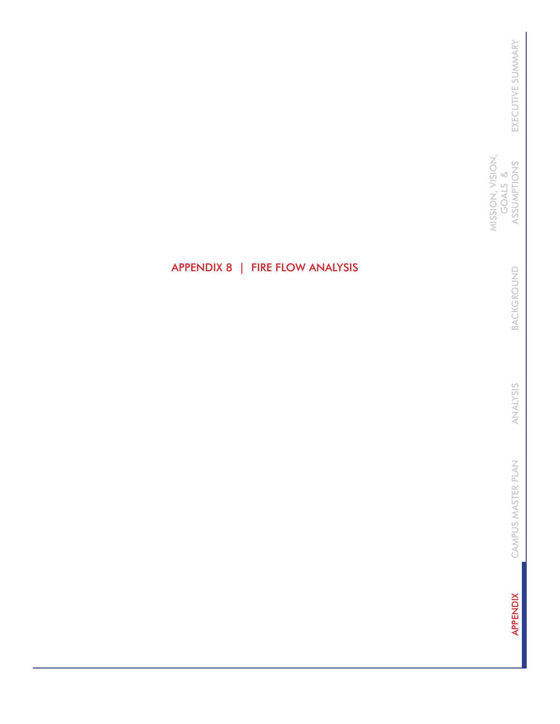MISSION, VISION,<br>GOALS &<br>ASSUMPTIONS MISSION, VISION, ASSUMPTIONS GOALS &

> BACKGROUND BACKGROUND

ANALYSIS ANALYSIS

CAMPUS MASTER PLAN CAMPUS MASTER PLAN

**APPENDIX** APPENDIX

# APPENDIX 8 | FIRE FLOW ANALYSIS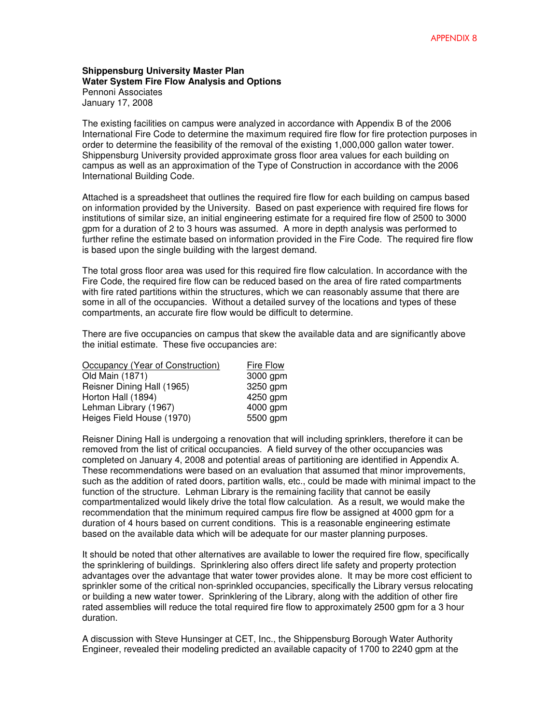#### **Shippensburg University Master Plan Water System Fire Flow Analysis and Options**  Pennoni Associates January 17, 2008

The existing facilities on campus were analyzed in accordance with Appendix B of the 2006 International Fire Code to determine the maximum required fire flow for fire protection purposes in order to determine the feasibility of the removal of the existing 1,000,000 gallon water tower. Shippensburg University provided approximate gross floor area values for each building on campus as well as an approximation of the Type of Construction in accordance with the 2006 International Building Code.

Attached is a spreadsheet that outlines the required fire flow for each building on campus based on information provided by the University. Based on past experience with required fire flows for institutions of similar size, an initial engineering estimate for a required fire flow of 2500 to 3000 gpm for a duration of 2 to 3 hours was assumed. A more in depth analysis was performed to further refine the estimate based on information provided in the Fire Code. The required fire flow is based upon the single building with the largest demand.

The total gross floor area was used for this required fire flow calculation. In accordance with the Fire Code, the required fire flow can be reduced based on the area of fire rated compartments with fire rated partitions within the structures, which we can reasonably assume that there are some in all of the occupancies. Without a detailed survey of the locations and types of these compartments, an accurate fire flow would be difficult to determine.

There are five occupancies on campus that skew the available data and are significantly above the initial estimate. These five occupancies are:

| Occupancy (Year of Construction) | Fire Flow |
|----------------------------------|-----------|
| Old Main (1871)                  | 3000 gpm  |
| Reisner Dining Hall (1965)       | 3250 gpm  |
| Horton Hall (1894)               | 4250 gpm  |
| Lehman Library (1967)            | 4000 gpm  |
| Heiges Field House (1970)        | 5500 gpm  |

Reisner Dining Hall is undergoing a renovation that will including sprinklers, therefore it can be removed from the list of critical occupancies. A field survey of the other occupancies was completed on January 4, 2008 and potential areas of partitioning are identified in Appendix A. These recommendations were based on an evaluation that assumed that minor improvements, such as the addition of rated doors, partition walls, etc., could be made with minimal impact to the function of the structure. Lehman Library is the remaining facility that cannot be easily compartmentalized would likely drive the total flow calculation. As a result, we would make the recommendation that the minimum required campus fire flow be assigned at 4000 gpm for a duration of 4 hours based on current conditions. This is a reasonable engineering estimate based on the available data which will be adequate for our master planning purposes.

It should be noted that other alternatives are available to lower the required fire flow, specifically the sprinklering of buildings. Sprinklering also offers direct life safety and property protection advantages over the advantage that water tower provides alone. It may be more cost efficient to sprinkler some of the critical non-sprinkled occupancies, specifically the Library versus relocating or building a new water tower. Sprinklering of the Library, along with the addition of other fire rated assemblies will reduce the total required fire flow to approximately 2500 gpm for a 3 hour duration.

A discussion with Steve Hunsinger at CET, Inc., the Shippensburg Borough Water Authority Engineer, revealed their modeling predicted an available capacity of 1700 to 2240 gpm at the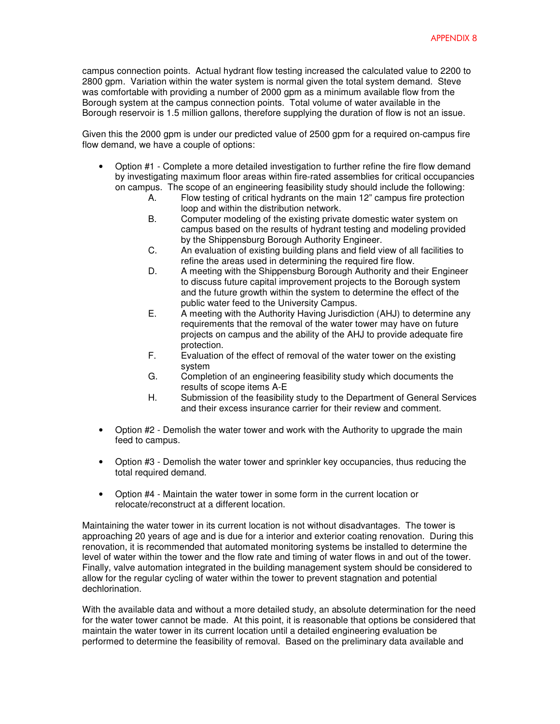campus connection points. Actual hydrant flow testing increased the calculated value to 2200 to 2800 gpm. Variation within the water system is normal given the total system demand. Steve was comfortable with providing a number of 2000 gpm as a minimum available flow from the Borough system at the campus connection points. Total volume of water available in the Borough reservoir is 1.5 million gallons, therefore supplying the duration of flow is not an issue.

Given this the 2000 gpm is under our predicted value of 2500 gpm for a required on-campus fire flow demand, we have a couple of options:

- Option #1 Complete a more detailed investigation to further refine the fire flow demand by investigating maximum floor areas within fire-rated assemblies for critical occupancies on campus. The scope of an engineering feasibility study should include the following:
	- A. Flow testing of critical hydrants on the main 12" campus fire protection loop and within the distribution network.
	- B. Computer modeling of the existing private domestic water system on campus based on the results of hydrant testing and modeling provided by the Shippensburg Borough Authority Engineer.
	- C. An evaluation of existing building plans and field view of all facilities to refine the areas used in determining the required fire flow.
	- D. A meeting with the Shippensburg Borough Authority and their Engineer to discuss future capital improvement projects to the Borough system and the future growth within the system to determine the effect of the public water feed to the University Campus.
	- E. A meeting with the Authority Having Jurisdiction (AHJ) to determine any requirements that the removal of the water tower may have on future projects on campus and the ability of the AHJ to provide adequate fire protection.
	- F. Evaluation of the effect of removal of the water tower on the existing system
	- G. Completion of an engineering feasibility study which documents the results of scope items A-E
	- H. Submission of the feasibility study to the Department of General Services and their excess insurance carrier for their review and comment.
- Option #2 Demolish the water tower and work with the Authority to upgrade the main feed to campus.
- Option #3 Demolish the water tower and sprinkler key occupancies, thus reducing the total required demand.
- Option #4 Maintain the water tower in some form in the current location or relocate/reconstruct at a different location.

Maintaining the water tower in its current location is not without disadvantages. The tower is approaching 20 years of age and is due for a interior and exterior coating renovation. During this renovation, it is recommended that automated monitoring systems be installed to determine the level of water within the tower and the flow rate and timing of water flows in and out of the tower. Finally, valve automation integrated in the building management system should be considered to allow for the regular cycling of water within the tower to prevent stagnation and potential dechlorination.

With the available data and without a more detailed study, an absolute determination for the need for the water tower cannot be made. At this point, it is reasonable that options be considered that maintain the water tower in its current location until a detailed engineering evaluation be performed to determine the feasibility of removal. Based on the preliminary data available and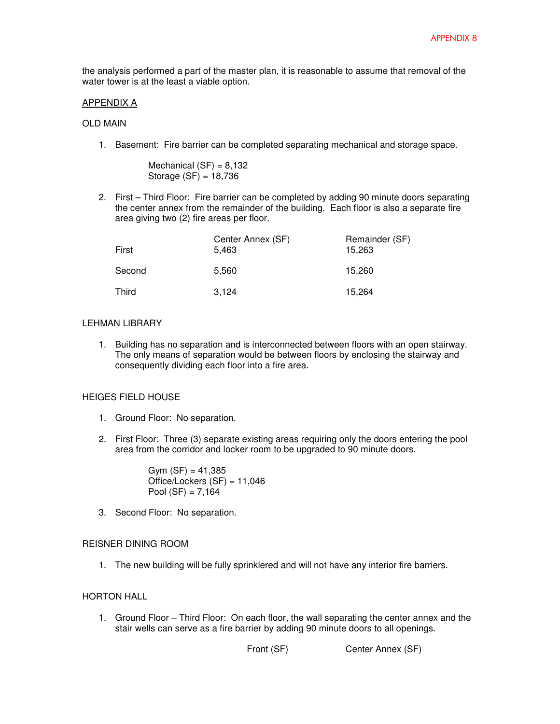the analysis performed a part of the master plan, it is reasonable to assume that removal of the water tower is at the least a viable option.

#### APPENDIX A

#### OLD MAIN

1. Basement: Fire barrier can be completed separating mechanical and storage space.

Mechanical  $(SF) = 8,132$ Storage (SF) = 18,736

2. First – Third Floor: Fire barrier can be completed by adding 90 minute doors separating the center annex from the remainder of the building. Each floor is also a separate fire area giving two (2) fire areas per floor.

| First  | Center Annex (SF)<br>5,463 | Remainder (SF)<br>15,263 |
|--------|----------------------------|--------------------------|
| Second | 5,560                      | 15,260                   |
| Third  | 3,124                      | 15,264                   |

### LEHMAN LIBRARY

1. Building has no separation and is interconnected between floors with an open stairway. The only means of separation would be between floors by enclosing the stairway and consequently dividing each floor into a fire area.

# HEIGES FIELD HOUSE

- 1. Ground Floor: No separation.
- 2. First Floor: Three (3) separate existing areas requiring only the doors entering the pool area from the corridor and locker room to be upgraded to 90 minute doors.

 $Gvm (SF) = 41.385$ Office/Lockers (SF) = 11,046 Pool  $(SF) = 7,164$ 

3. Second Floor: No separation.

#### REISNER DINING ROOM

1. The new building will be fully sprinklered and will not have any interior fire barriers.

# HORTON HALL

1. Ground Floor – Third Floor: On each floor, the wall separating the center annex and the stair wells can serve as a fire barrier by adding 90 minute doors to all openings.

```
Front (SF) Center Annex (SF)
```